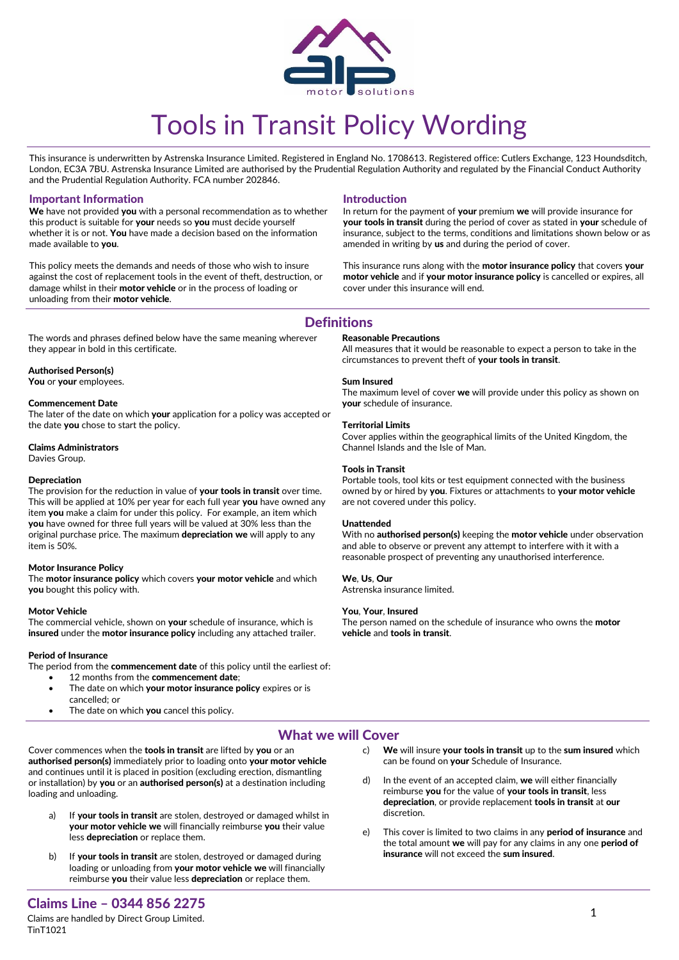

# Tools in Transit Policy Wording

This insurance is underwritten by Astrenska Insurance Limited. Registered in England No. 1708613. Registered office: Cutlers Exchange, 123 Houndsditch, London, EC3A 7BU. Astrenska Insurance Limited are authorised by the Prudential Regulation Authority and regulated by the Financial Conduct Authority and the Prudential Regulation Authority. FCA number 202846.

## Important Information

We have not provided you with a personal recommendation as to whether this product is suitable for your needs so you must decide yourself whether it is or not. You have made a decision based on the information made available to you.

This policy meets the demands and needs of those who wish to insure against the cost of replacement tools in the event of theft, destruction, or damage whilst in their motor vehicle or in the process of loading or unloading from their motor vehicle.

The words and phrases defined below have the same meaning wherever

## Introduction

In return for the payment of your premium we will provide insurance for your tools in transit during the period of cover as stated in your schedule of insurance, subject to the terms, conditions and limitations shown below or as amended in writing by us and during the period of cover.

This insurance runs along with the motor insurance policy that covers your motor vehicle and if your motor insurance policy is cancelled or expires, all cover under this insurance will end.

# **Definitions**

## Reasonable Precautions

All measures that it would be reasonable to expect a person to take in the circumstances to prevent theft of your tools in transit.

#### Sum Insured

The maximum level of cover we will provide under this policy as shown on your schedule of insurance.

## Territorial Limits

Cover applies within the geographical limits of the United Kingdom, the Channel Islands and the Isle of Man.

## Tools in Transit

Portable tools, tool kits or test equipment connected with the business owned by or hired by you. Fixtures or attachments to your motor vehicle are not covered under this policy.

#### Unattended

With no authorised person(s) keeping the motor vehicle under observation and able to observe or prevent any attempt to interfere with it with a reasonable prospect of preventing any unauthorised interference.

## We, Us, Our

Astrenska insurance limited.

## You, Your, Insured

The person named on the schedule of insurance who owns the **motor** vehicle and tools in transit.

# Authorised Person(s)

You or vour employees.

they appear in bold in this certificate.

## Commencement Date

The later of the date on which your application for a policy was accepted or the date you chose to start the policy.

#### Claims Administrators

Davies Group.

## Depreciation

The provision for the reduction in value of your tools in transit over time. This will be applied at 10% per year for each full year you have owned any item you make a claim for under this policy. For example, an item which you have owned for three full years will be valued at 30% less than the original purchase price. The maximum depreciation we will apply to any item is 50%.

## Motor Insurance Policy

The motor insurance policy which covers your motor vehicle and which you bought this policy with.

#### Motor Vehicle

The commercial vehicle, shown on your schedule of insurance, which is insured under the motor insurance policy including any attached trailer.

## Period of Insurance

The period from the **commencement date** of this policy until the earliest of:

- 12 months from the commencement date;
- The date on which **your motor insurance policy** expires or is cancelled; or
- The date on which you cancel this policy.
- What we will Cover

Cover commences when the tools in transit are lifted by you or an authorised person(s) immediately prior to loading onto your motor vehicle and continues until it is placed in position (excluding erection, dismantling or installation) by you or an authorised person(s) at a destination including loading and unloading.

- If your tools in transit are stolen, destroyed or damaged whilst in your motor vehicle we will financially reimburse you their value less depreciation or replace them.
- b) If your tools in transit are stolen, destroyed or damaged during loading or unloading from your motor vehicle we will financially reimburse you their value less depreciation or replace them.

## c) We will insure your tools in transit up to the sum insured which can be found on your Schedule of Insurance.

- d) In the event of an accepted claim, we will either financially reimburse you for the value of your tools in transit, less depreciation, or provide replacement tools in transit at our discretion.
- e) This cover is limited to two claims in any **period of insurance** and the total amount we will pay for any claims in any one **period of** insurance will not exceed the sum insured.

# Claims Line – 0344 856 2275

Claims are handled by Direct Group Limited. TinT1021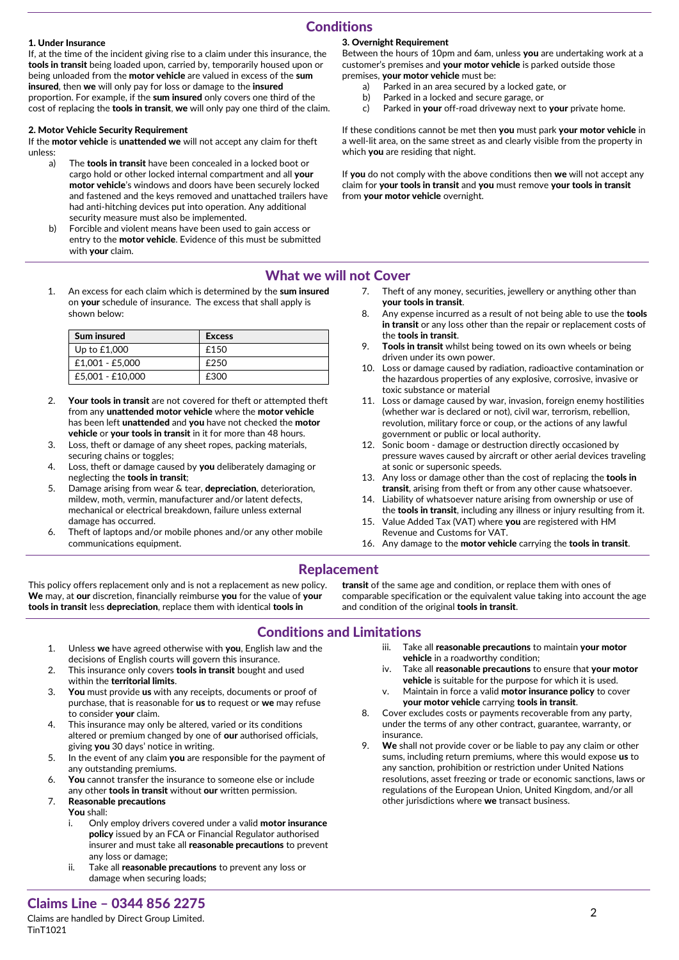# **Conditions**

# 1. Under Insurance

If, at the time of the incident giving rise to a claim under this insurance, the tools in transit being loaded upon, carried by, temporarily housed upon or being unloaded from the motor vehicle are valued in excess of the sum insured, then we will only pay for loss or damage to the insured proportion. For example, if the sum insured only covers one third of the cost of replacing the **tools in transit, we** will only pay one third of the claim.

## 2. Motor Vehicle Security Requirement

If the motor vehicle is unattended we will not accept any claim for theft unless:

- a) The **tools in transit** have been concealed in a locked boot or cargo hold or other locked internal compartment and all your motor vehicle's windows and doors have been securely locked and fastened and the keys removed and unattached trailers have had anti-hitching devices put into operation. Any additional security measure must also be implemented.
- b) Forcible and violent means have been used to gain access or entry to the **motor vehicle**. Evidence of this must be submitted with your claim.
- 1. An excess for each claim which is determined by the sum insured on your schedule of insurance. The excess that shall apply is shown below:

| Sum insured      | <b>Excess</b> |
|------------------|---------------|
| Up to $£1,000$   | £150          |
| £1.001 - £5.000  | £250          |
| £5.001 - £10.000 | £300          |

- 2. Your tools in transit are not covered for theft or attempted theft from any unattended motor vehicle where the motor vehicle has been left **unattended** and **you** have not checked the **motor** vehicle or your tools in transit in it for more than 48 hours.
- 3. Loss, theft or damage of any sheet ropes, packing materials, securing chains or toggles;
- 4. Loss, theft or damage caused by you deliberately damaging or neglecting the tools in transit;
- 5. Damage arising from wear  $\&$  tear, depreciation, deterioration, mildew, moth, vermin, manufacturer and/or latent defects, mechanical or electrical breakdown, failure unless external damage has occurred.
- 6. Theft of laptops and/or mobile phones and/or any other mobile communications equipment.

# 3. Overnight Requirement

Between the hours of 10pm and 6am, unless you are undertaking work at a customer's premises and **vour motor vehicle** is parked outside those premises, your motor vehicle must be:

- a) Parked in an area secured by a locked gate, or
- b) Parked in a locked and secure garage, or
- c) Parked in your off-road driveway next to your private home.

If these conditions cannot be met then you must park your motor vehicle in a well-lit area, on the same street as and clearly visible from the property in which you are residing that night.

If you do not comply with the above conditions then we will not accept any claim for your tools in transit and you must remove your tools in transit from your motor vehicle overnight.

# What we will not Cover

- 7. Theft of any money, securities, jewellery or anything other than your tools in transit.
- Any expense incurred as a result of not being able to use the tools in transit or any loss other than the repair or replacement costs of the tools in transit.
- 9. Tools in transit whilst being towed on its own wheels or being driven under its own power.
- 10. Loss or damage caused by radiation, radioactive contamination or the hazardous properties of any explosive, corrosive, invasive or toxic substance or material
- 11. Loss or damage caused by war, invasion, foreign enemy hostilities (whether war is declared or not), civil war, terrorism, rebellion, revolution, military force or coup, or the actions of any lawful government or public or local authority.
- 12. Sonic boom damage or destruction directly occasioned by pressure waves caused by aircraft or other aerial devices traveling at sonic or supersonic speeds.
- 13. Any loss or damage other than the cost of replacing the tools in transit, arising from theft or from any other cause whatsoever.
- 14. Liability of whatsoever nature arising from ownership or use of the tools in transit, including any illness or injury resulting from it.
- 15. Value Added Tax (VAT) where you are registered with HM Revenue and Customs for VAT.
- 16. Any damage to the motor vehicle carrying the tools in transit.

# Replacement

This policy offers replacement only and is not a replacement as new policy. We may, at our discretion, financially reimburse you for the value of your tools in transit less depreciation, replace them with identical tools in

transit of the same age and condition, or replace them with ones of comparable specification or the equivalent value taking into account the age and condition of the original tools in transit.

# Conditions and Limitations

- 1. Unless we have agreed otherwise with you, English law and the decisions of English courts will govern this insurance.
- 2. This insurance only covers tools in transit bought and used within the territorial limits.
- 3. You must provide us with any receipts, documents or proof of purchase, that is reasonable for us to request or we may refuse to consider your claim.
- 4. This insurance may only be altered, varied or its conditions altered or premium changed by one of our authorised officials, giving you 30 days' notice in writing.
- 5. In the event of any claim you are responsible for the payment of any outstanding premiums.
- 6. You cannot transfer the insurance to someone else or include any other tools in transit without our written permission.
- 7. Reasonable precautions
	- You shall:
		- i. Only employ drivers covered under a valid **motor insurance** policy issued by an FCA or Financial Regulator authorised insurer and must take all reasonable precautions to prevent any loss or damage;
		- ii. Take all reasonable precautions to prevent any loss or damage when securing loads;

iii. Take all reasonable precautions to maintain your motor vehicle in a roadworthy condition;

- iv. Take all reasonable precautions to ensure that your motor vehicle is suitable for the purpose for which it is used.
- v. Maintain in force a valid motor insurance policy to cover your motor vehicle carrying tools in transit.
- 8. Cover excludes costs or payments recoverable from any party, under the terms of any other contract, guarantee, warranty, or insurance.
- We shall not provide cover or be liable to pay any claim or other sums, including return premiums, where this would expose us to any sanction, prohibition or restriction under United Nations resolutions, asset freezing or trade or economic sanctions, laws or regulations of the European Union, United Kingdom, and/or all other jurisdictions where we transact business.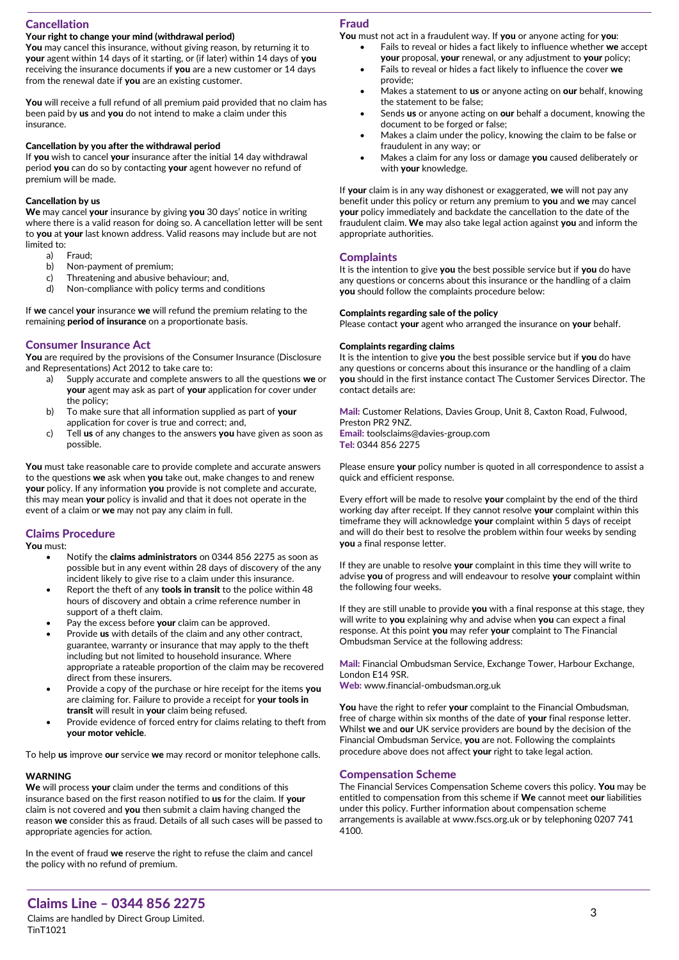# Cancellation

# Your right to change your mind (withdrawal period)

You may cancel this insurance, without giving reason, by returning it to your agent within 14 days of it starting, or (if later) within 14 days of you receiving the insurance documents if you are a new customer or 14 days from the renewal date if you are an existing customer.

You will receive a full refund of all premium paid provided that no claim has been paid by us and you do not intend to make a claim under this insurance.

#### Cancellation by you after the withdrawal period

If you wish to cancel your insurance after the initial 14 day withdrawal period you can do so by contacting your agent however no refund of premium will be made.

## Cancellation by us

We may cancel your insurance by giving you 30 days' notice in writing where there is a valid reason for doing so. A cancellation letter will be sent to you at your last known address. Valid reasons may include but are not limited to:

- a) Fraud;
- b) Non-payment of premium;
- c) Threatening and abusive behaviour; and,
- d) Non-compliance with policy terms and conditions

If we cancel your insurance we will refund the premium relating to the remaining **period of insurance** on a proportionate basis.

## Consumer Insurance Act

You are required by the provisions of the Consumer Insurance (Disclosure and Representations) Act 2012 to take care to:

- a) Supply accurate and complete answers to all the questions we or your agent may ask as part of your application for cover under the policy;
- b) To make sure that all information supplied as part of your application for cover is true and correct; and,
- c) Tell us of any changes to the answers you have given as soon as possible.

You must take reasonable care to provide complete and accurate answers to the questions we ask when you take out, make changes to and renew your policy. If any information you provide is not complete and accurate, this may mean your policy is invalid and that it does not operate in the event of a claim or we may not pay any claim in full.

## Claims Procedure

You must:

- Notify the claims administrators on 0344 856 2275 as soon as possible but in any event within 28 days of discovery of the any incident likely to give rise to a claim under this insurance.
- Report the theft of any tools in transit to the police within 48 hours of discovery and obtain a crime reference number in support of a theft claim.
- Pay the excess before your claim can be approved.
- Provide us with details of the claim and any other contract, guarantee, warranty or insurance that may apply to the theft including but not limited to household insurance. Where appropriate a rateable proportion of the claim may be recovered direct from these insurers.
- Provide a copy of the purchase or hire receipt for the items you are claiming for. Failure to provide a receipt for your tools in transit will result in your claim being refused.
- Provide evidence of forced entry for claims relating to theft from your motor vehicle.

To help us improve our service we may record or monitor telephone calls.

# **WARNING**

We will process your claim under the terms and conditions of this insurance based on the first reason notified to us for the claim. If your claim is not covered and you then submit a claim having changed the reason we consider this as fraud. Details of all such cases will be passed to appropriate agencies for action.

In the event of fraud we reserve the right to refuse the claim and cancel the policy with no refund of premium.

### Fraud

You must not act in a fraudulent way. If you or anyone acting for you:

- Fails to reveal or hides a fact likely to influence whether we accept your proposal, your renewal, or any adjustment to your policy;
	- Fails to reveal or hides a fact likely to influence the cover we provide;
	- Makes a statement to us or anyone acting on our behalf, knowing the statement to be false;
	- Sends us or anyone acting on our behalf a document, knowing the document to be forged or false;
- Makes a claim under the policy, knowing the claim to be false or fraudulent in any way; or
- Makes a claim for any loss or damage you caused deliberately or with your knowledge.

If your claim is in any way dishonest or exaggerated, we will not pay any benefit under this policy or return any premium to you and we may cancel your policy immediately and backdate the cancellation to the date of the fraudulent claim. We may also take legal action against you and inform the appropriate authorities.

## **Complaints**

It is the intention to give you the best possible service but if you do have any questions or concerns about this insurance or the handling of a claim you should follow the complaints procedure below:

#### Complaints regarding sale of the policy

Please contact your agent who arranged the insurance on your behalf.

# Complaints regarding claims

It is the intention to give you the best possible service but if you do have any questions or concerns about this insurance or the handling of a claim you should in the first instance contact The Customer Services Director. The contact details are:

Mail: Customer Relations, Davies Group, Unit 8, Caxton Road, Fulwood, Preston PR2 9NZ. Email: toolsclaims@davies-group.com Tel: 0344 856 2275

Please ensure your policy number is quoted in all correspondence to assist a quick and efficient response.

Every effort will be made to resolve your complaint by the end of the third working day after receipt. If they cannot resolve your complaint within this timeframe they will acknowledge your complaint within 5 days of receipt and will do their best to resolve the problem within four weeks by sending you a final response letter.

If they are unable to resolve your complaint in this time they will write to advise you of progress and will endeavour to resolve your complaint within the following four weeks.

If they are still unable to provide you with a final response at this stage, they will write to you explaining why and advise when you can expect a final response. At this point you may refer your complaint to The Financial Ombudsman Service at the following address:

Mail: Financial Ombudsman Service, Exchange Tower, Harbour Exchange, London E14 9SR.

Web: www.financial-ombudsman.org.uk

You have the right to refer your complaint to the Financial Ombudsman, free of charge within six months of the date of **vour** final response letter. Whilst we and our UK service providers are bound by the decision of the Financial Ombudsman Service, you are not. Following the complaints procedure above does not affect your right to take legal action.

#### Compensation Scheme

The Financial Services Compensation Scheme covers this policy. You may be entitled to compensation from this scheme if We cannot meet our liabilities under this policy. Further information about compensation scheme arrangements is available at www.fscs.org.uk or by telephoning 0207 741 4100.